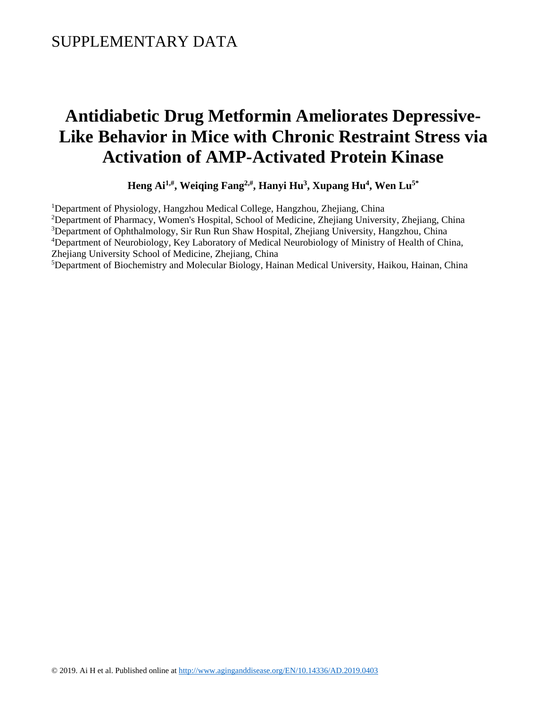## **Antidiabetic Drug Metformin Ameliorates Depressive-Like Behavior in Mice with Chronic Restraint Stress via Activation of AMP-Activated Protein Kinase**

**Heng Ai1,# , Weiqing Fang2,# , Hanyi Hu<sup>3</sup> , Xupang Hu<sup>4</sup> , Wen Lu5\***

<sup>1</sup>Department of Physiology, Hangzhou Medical College, Hangzhou, Zhejiang, China <sup>2</sup>Department of Pharmacy, Women's Hospital, School of Medicine, Zhejiang University, Zhejiang, China <sup>3</sup>Department of Ophthalmology, Sir Run Run Shaw Hospital, Zhejiang University, Hangzhou, China <sup>4</sup>Department of Neurobiology, Key Laboratory of Medical Neurobiology of Ministry of Health of China, Zhejiang University School of Medicine, Zhejiang, China <sup>5</sup>Department of Biochemistry and Molecular Biology, Hainan Medical University, Haikou, Hainan, China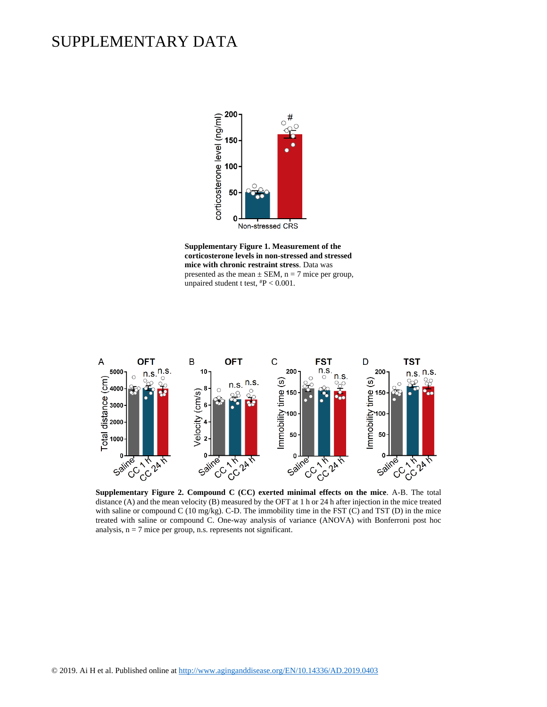## SUPPLEMENTARY DATA



**Supplementary Figure 1. Measurement of the corticosterone levels in non-stressed and stressed mice with chronic restraint stress**. Data was presented as the mean  $\pm$  SEM, n = 7 mice per group, unpaired student t test, #P < 0.001.



distance (A) and the mean velocity (B) measured by the OFT at 1 h or 24 h after injection in the mice treated with saline or compound C (10 mg/kg). C-D. The immobility time in the FST (C) and TST (D) in the mice treated with saline or compound C. One-way analysis of variance (ANOVA) with Bonferroni post hoc analysis,  $n = 7$  mice per group, n.s. represents not significant.